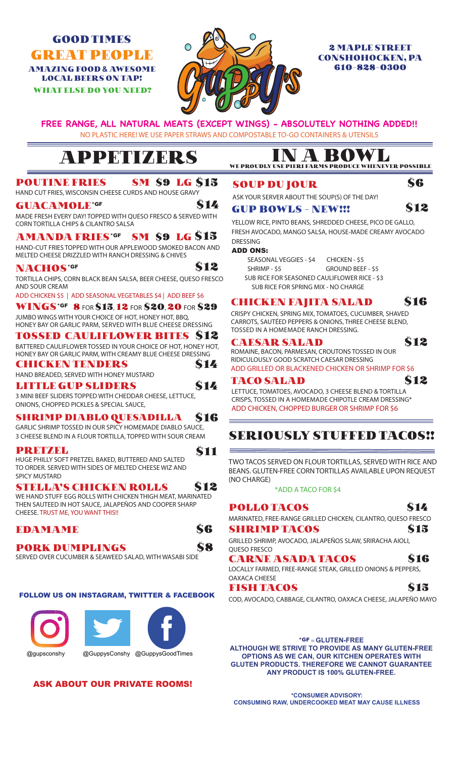# GOOD TIMES AMAZING FOOD **&** AWESOME LOCAL BEERS ON TAP!

WHAT ELSE DO YOU NEED?



## CONSHOHOCKEN, PA 610-828-0300

# **FREE RANGE, ALL NATURAL MEATS (EXCEPT WINGS) - ABSOLUTELY NOTHING ADDED!!**

NO PLASTIC HERE! WE USE PAPER STRAWS AND COMPOSTABLE TO-GO CONTAINERS & UTENSILS

\$14

\$12

\$14

\$11

# APPETIZERS IN A BO

#### POUTINE FRIES **SM S9 LG S15**

HAND CUT FRIES, WISCONSIN CHEESE CURDS AND HOUSE GRAVY

#### GUACAMOLE\*GF

MADE FRESH EVERY DAY! TOPPED WITH QUESO FRESCO & SERVED WITH CORN TORTILLA CHIPS & CILANTRO SALSA

#### AMANDA FRIES\*GF **SM \$9 LG S15**

HAND-CUT FRIES TOPPED WITH OUR APPLEWOOD SMOKED BACON AND MELTED CHEESE DRIZZLED WITH RANCH DRESSING & CHIVES

### NACHOS\*GF

TORTILLA CHIPS, CORN BLACK BEAN SALSA, BEER CHEESE, QUESO FRESCO AND SOUR CREAM

ADD CHICKEN \$5 | ADD SEASONAL VEGETABLES \$4 | ADD BEEF \$6

WINGS\*GF 8 FOR \$15, 12 FOR \$20, 20 FOR \$29 JUMBO WINGS WITH YOUR CHOICE OF HOT, HONEY HOT, BBQ, HONEY BAY OR GARLIC PARM, SERVED WITH BLUE CHEESE DRESSING

### TOSSED CAULIFLOWER BITES \$12

BATTERED CAULIFLOWER TOSSED IN YOUR CHOICE OF HOT, HONEY HOT, HONEY BAY OR GARLIC PARM, WITH CREAMY BLUE CHEESE DRESSING

#### CHICKEN TENDERS

HAND BREADED, SERVED WITH HONEY MUSTARD **S14** 

#### LITTLE GUP SLIDERS

3 MINI BEEF SLIDERS TOPPED WITH CHEDDAR CHEESE, LETTUCE, ONIONS, CHOPPED PICKLES & SPECIAL SAUCE,

#### SHRIMP DIABLO QUESADILLA \$16

GARLIC SHRIMP TOSSED IN OUR SPICY HOMEMADE DIABLO SAUCE, 3 CHEESE BLEND IN A FLOUR TORTILLA, TOPPED WITH SOUR CREAM

### PRETZEL

HUGE PHILLY SOFT PRETZEL BAKED, BUTTERED AND SALTED TO ORDER. SERVED WITH SIDES OF MELTED CHEESE WIZ AND SPICY MUSTARD

#### STELLA'S CHICKEN ROLLS \$12

WE HAND STUFF EGG ROLLS WITH CHICKEN THIGH MEAT, MARINATED THEN SAUTEED IN HOT SAUCE, JALAPEÑOS AND COOPER SHARP CHEESE. TRUST ME, YOU WANT THIS!!

### EDAMAME \$6

PORK DUMPLINGS \$8

SERVED OVER CUCUMBER & SEAWEED SALAD, WITH WASABI SIDE

#### FOLLOW US ON INSTAGRAM, TWITTER & FACEBOOK



@gupsconshy @GuppysConshy @GuppysGoodTimes

### ASK ABOUT OUR PRIVATE ROOMS!

# WE PROUDLY USE PIERI FARMS PRODUCE WHENEVER POSSIBLE

### SOUP DU JOUR

ASK YOUR SERVER ABOUT THE SOUP(S) OF THE DAY!

#### GUP BOWLS - NEW!!! \$12

YELLOW RICE, PINTO BEANS, SHREDDED CHEESE, PICO DE GALLO, FRESH AVOCADO, MANGO SALSA, HOUSE-MADE CREAMY AVOCADO **DRESSING** 

### ADD ONS:

 SEASONAL VEGGIES - \$4 CHICKEN - \$5 SHRIMP - \$5 GROUND BEEF - \$5 SUB RICE FOR SEASONED CAULIFLOWER RICE - \$3 SUB RICE FOR SPRING MIX - NO CHARGE

### CHICKEN FAJITA SALAD \$16

CRISPY CHICKEN, SPRING MIX, TOMATOES, CUCUMBER, SHAVED CARROTS, SAUTÉED PEPPERS & ONIONS, THREE CHEESE BLEND, TOSSED IN A HOMEMADE RANCH DRESSING.

#### CAESAR SALAD \$12

**S6** 

ROMAINE, BACON, PARMESAN, CROUTONS TOSSED IN OUR RIDICULOUSLY GOOD SCRATCH CAESAR DRESSING ADD GRILLED OR BLACKENED CHICKEN OR SHRIMP FOR \$6

TACO SALAD \$12 LETTUCE, TOMATOES, AVOCADO, 3 CHEESE BLEND & TORTILLA CRISPS, TOSSED IN A HOMEMADE CHIPOTLE CREAM DRESSING\*

ADD CHICKEN, CHOPPED BURGER OR SHRIMP FOR \$6

## **SERIOUSLY STUFFED TACOS!!**

TWO TACOS SERVED ON FLOUR TORTILLAS, SERVED WITH RICE AND BEANS. GLUTEN-FREE CORN TORTILLAS AVAILABLE UPON REQUEST (NO CHARGE)

\*ADD A TACO FOR \$4

POLLO TACOS \$14 MARINATED, FREE-RANGE GRILLED CHICKEN, CILANTRO, QUESO FRESCO SHRIMP TACOS \$15

GRILLED SHRIMP, AVOCADO, JALAPEÑOS SLAW, SRIRACHA AIOLI, QUESO FRESCO

### CARNE ASADA TACOS \$16

LOCALLY FARMED, FREE-RANGE STEAK, GRILLED ONIONS & PEPPERS, OAXACA CHEESE

#### FISH TACOS S15

COD, AVOCADO, CABBAGE, CILANTRO, OAXACA CHEESE, JALAPEÑO MAYO

#### \*GF = **GLUTEN-FREE ALTHOUGH WE STRIVE TO PROVIDE AS MANY GLUTEN-FREE OPTIONS AS WE CAN, OUR KITCHEN OPERATES WITH GLUTEN PRODUCTS. THEREFORE WE CANNOT GUARANTEE ANY PRODUCT IS 100% GLUTEN-FREE.**

**\*CONSUMER ADVISORY: CONSUMING RAW, UNDERCOOKED MEAT MAY CAUSE ILLNESS**